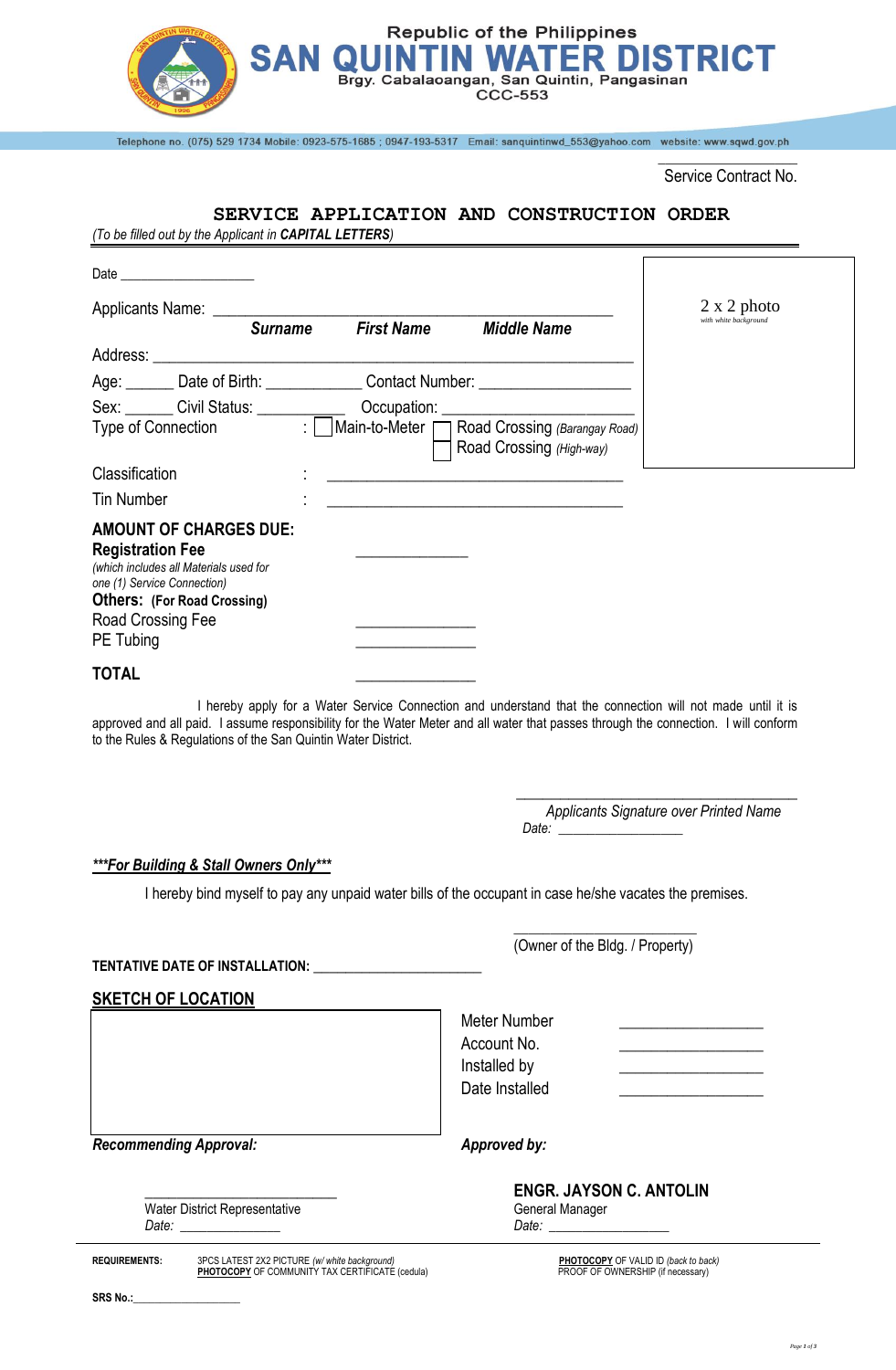

Telephone no. (075) 529 1734 Mobile: 0923-575-1685; 0947-193-5317 Email: sanquintinwd\_553@yahoo.com website: www.sqwd.gov.ph

\_\_\_\_\_\_\_\_\_\_\_\_\_\_\_\_\_\_\_ Service Contract No.

r

## **SERVICE APPLICATION AND CONSTRUCTION ORDER**

*(To be filled out by the Applicant in CAPITAL LETTERS)*

| Date ________________________                                                                                                                                                                             |                |                   |                                                                                                                                                                                                                                                            |                                             |
|-----------------------------------------------------------------------------------------------------------------------------------------------------------------------------------------------------------|----------------|-------------------|------------------------------------------------------------------------------------------------------------------------------------------------------------------------------------------------------------------------------------------------------------|---------------------------------------------|
|                                                                                                                                                                                                           | <b>Surname</b> | <b>First Name</b> | <b>Middle Name</b>                                                                                                                                                                                                                                         | $2 \times 2$ photo<br>with white background |
|                                                                                                                                                                                                           |                |                   |                                                                                                                                                                                                                                                            |                                             |
|                                                                                                                                                                                                           |                |                   | Age: Date of Birth: Contact Number: Contact: CONSERVING                                                                                                                                                                                                    |                                             |
|                                                                                                                                                                                                           |                |                   |                                                                                                                                                                                                                                                            |                                             |
|                                                                                                                                                                                                           |                |                   | Sex: Civil Status: Cocupation: Cocupation: Civil Status: Connection : Connection : Connection : Connection : Connection : Connection : Connection : Connection : Connection : Connection : Connection : Connection : Connectio<br>Road Crossing (High-way) |                                             |
| Classification                                                                                                                                                                                            |                |                   | <u> 1989 - Johann Harry Harry Harry Harry Harry Harry Harry Harry Harry Harry Harry Harry Harry Harry Harry Harry</u>                                                                                                                                      |                                             |
| <b>Tin Number</b>                                                                                                                                                                                         |                |                   | <u> 1989 - Johann Barbara, marka a shekara tsa 1989 - An tsa 1989 - An tsa 1989 - An tsa 1989 - An tsa 1989 - An</u>                                                                                                                                       |                                             |
| <b>AMOUNT OF CHARGES DUE:</b><br><b>Registration Fee</b><br>(which includes all Materials used for<br>one (1) Service Connection)<br><b>Others: (For Road Crossing)</b><br>Road Crossing Fee<br>PE Tubing |                |                   |                                                                                                                                                                                                                                                            |                                             |
| <b>TOTAL</b>                                                                                                                                                                                              |                |                   |                                                                                                                                                                                                                                                            |                                             |
|                                                                                                                                                                                                           |                |                   | I hereby apply for a Water Service Connection and understand that the connection will not made until it is                                                                                                                                                 |                                             |

approved and all paid. I assume responsibility for the Water Meter and all water that passes through the connection. I will conform to the Rules & Regulations of the San Quintin Water District.

> \_\_\_\_\_\_\_\_\_\_\_\_\_\_\_\_\_\_\_\_\_\_\_\_\_\_\_\_\_\_\_\_ *Applicants Signature over Printed Name Date: \_\_\_\_\_\_\_\_\_\_\_\_\_\_\_\_\_*

*\*\*\*For Building & Stall Owners Only\*\*\**

I hereby bind myself to pay any unpaid water bills of the occupant in case he/she vacates the premises.

**TENTATIVE DATE OF INSTALLATION: \_\_\_\_\_\_\_\_\_\_\_\_\_\_\_\_\_\_\_\_\_**

**SKETCH OF LOCATION** 

Meter Number Account No. Installed by Date Installed

*Recommending Approval: Approved by:*

Water District Representative General Manager

\_\_\_\_\_\_\_\_\_\_\_\_\_\_\_\_\_\_\_\_\_\_\_\_ **ENGR. JAYSON C. ANTOLIN** *Date: \_\_\_\_\_\_\_\_\_\_\_\_\_\_\_ Date: \_\_\_\_\_\_\_\_\_\_\_\_\_\_\_\_\_\_*

\_\_\_\_\_\_\_\_\_\_\_\_\_\_\_\_\_\_\_\_\_\_\_\_\_ (Owner of the Bldg. / Property)

**REQUIREMENTS:** 3PCS LATEST 2X2 PICTURE *(w/ white background)* **PHOTOCOPY** OF VALID ID *(back to back)* **PHOTOCOPY** OF COMMUNITY TAX CERTIFICATE (cedula) PROOF OF OWNERSHIP (if necessary)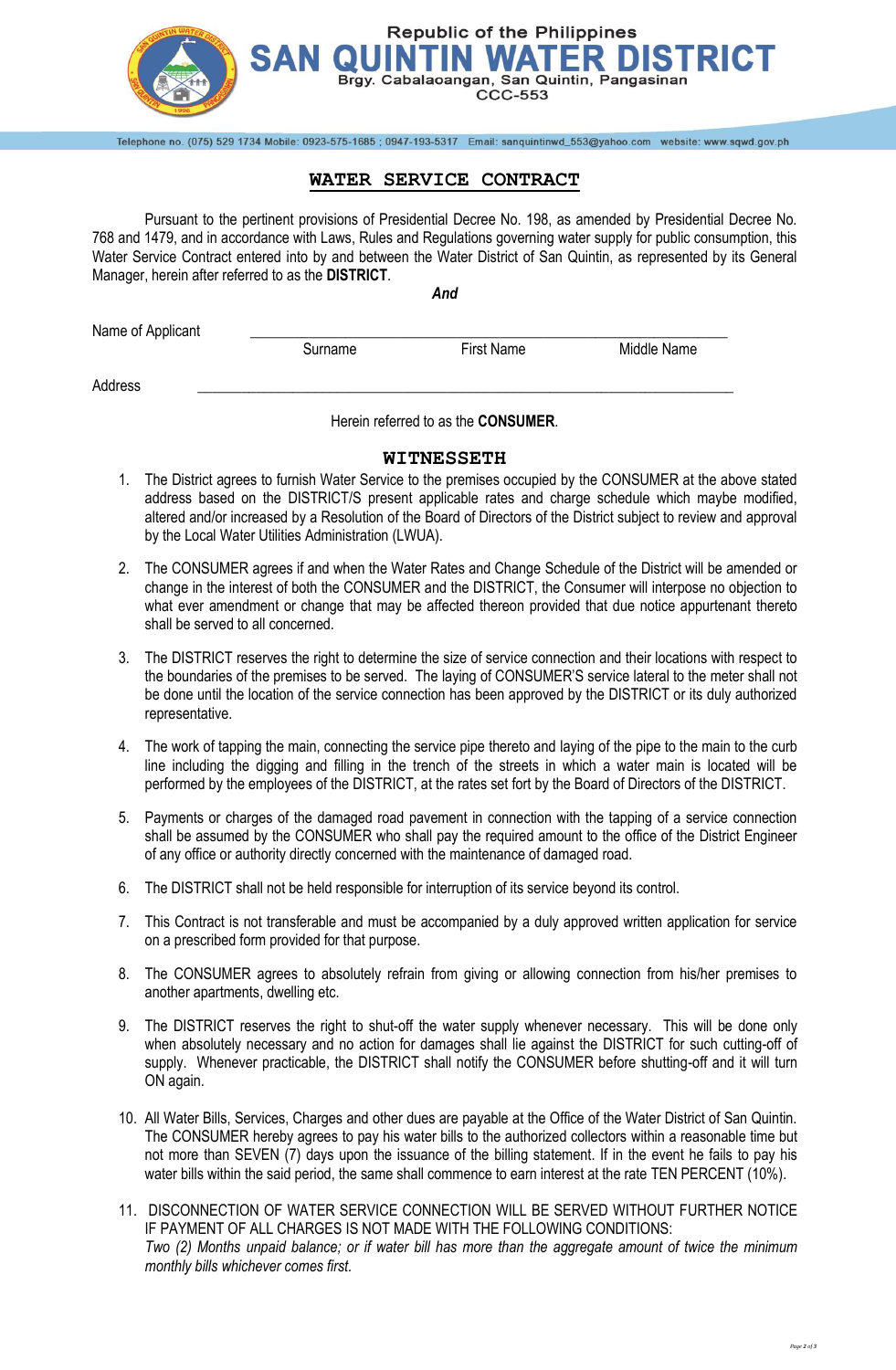

## **WATER SERVICE CONTRACT**

Telephone no. (075) 529 1734 Mobile: 0923-575-1685 ; 0947-193-5317 Email: sanquintinwd\_553@yahoo.com website: www.sqwd.gov.ph

Pursuant to the pertinent provisions of Presidential Decree No. 198, as amended by Presidential Decree No. 768 and 1479, and in accordance with Laws, Rules and Regulations governing water supply for public consumption, this Water Service Contract entered into by and between the Water District of San Quintin, as represented by its General Manager, herein after referred to as the **DISTRICT**.

*And*

| Name of Applicant |         |            |             |
|-------------------|---------|------------|-------------|
|                   | Surname | First Name | Middle Name |
| Address           |         |            |             |

Herein referred to as the **CONSUMER**.

## **WITNESSETH**

- 1. The District agrees to furnish Water Service to the premises occupied by the CONSUMER at the above stated address based on the DISTRICT/S present applicable rates and charge schedule which maybe modified, altered and/or increased by a Resolution of the Board of Directors of the District subject to review and approval by the Local Water Utilities Administration (LWUA).
- 2. The CONSUMER agrees if and when the Water Rates and Change Schedule of the District will be amended or change in the interest of both the CONSUMER and the DISTRICT, the Consumer will interpose no objection to what ever amendment or change that may be affected thereon provided that due notice appurtenant thereto shall be served to all concerned.
- 3. The DISTRICT reserves the right to determine the size of service connection and their locations with respect to the boundaries of the premises to be served. The laying of CONSUMER'S service lateral to the meter shall not be done until the location of the service connection has been approved by the DISTRICT or its duly authorized representative.
- 4. The work of tapping the main, connecting the service pipe thereto and laying of the pipe to the main to the curb line including the digging and filling in the trench of the streets in which a water main is located will be performed by the employees of the DISTRICT, at the rates set fort by the Board of Directors of the DISTRICT.
- 5. Payments or charges of the damaged road pavement in connection with the tapping of a service connection shall be assumed by the CONSUMER who shall pay the required amount to the office of the District Engineer of any office or authority directly concerned with the maintenance of damaged road.
- 6. The DISTRICT shall not be held responsible for interruption of its service beyond its control.
- 7. This Contract is not transferable and must be accompanied by a duly approved written application for service on a prescribed form provided for that purpose.
- 8. The CONSUMER agrees to absolutely refrain from giving or allowing connection from his/her premises to another apartments, dwelling etc.
- 9. The DISTRICT reserves the right to shut-off the water supply whenever necessary. This will be done only when absolutely necessary and no action for damages shall lie against the DISTRICT for such cutting-off of supply. Whenever practicable, the DISTRICT shall notify the CONSUMER before shutting-off and it will turn ON again.
- 10. All Water Bills, Services, Charges and other dues are payable at the Office of the Water District of San Quintin. The CONSUMER hereby agrees to pay his water bills to the authorized collectors within a reasonable time but not more than SEVEN (7) days upon the issuance of the billing statement. If in the event he fails to pay his water bills within the said period, the same shall commence to earn interest at the rate TEN PERCENT (10%).
- 11. DISCONNECTION OF WATER SERVICE CONNECTION WILL BE SERVED WITHOUT FURTHER NOTICE IF PAYMENT OF ALL CHARGES IS NOT MADE WITH THE FOLLOWING CONDITIONS: *Two (2) Months unpaid balance; or if water bill has more than the aggregate amount of twice the minimum monthly bills whichever comes first.*